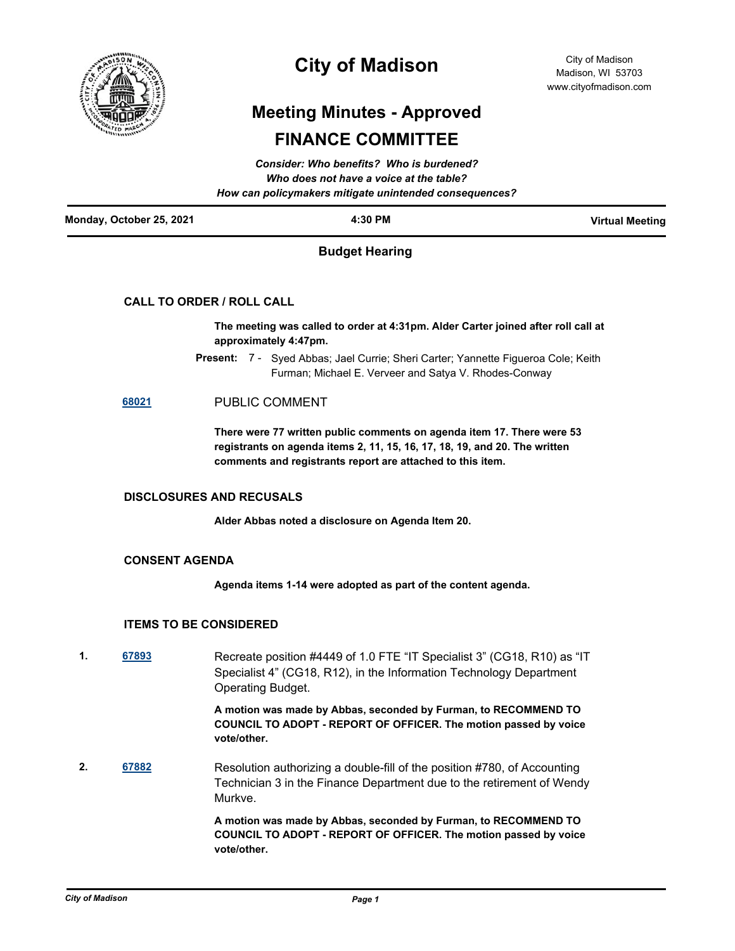

## **City of Madison**

# **Meeting Minutes - Approved FINANCE COMMITTEE**

| <b>Consider: Who benefits? Who is burdened?</b><br>Who does not have a voice at the table?<br>How can policymakers mitigate unintended consequences? |                       |                        |  |
|------------------------------------------------------------------------------------------------------------------------------------------------------|-----------------------|------------------------|--|
| Monday, October 25, 2021                                                                                                                             | 4:30 PM               | <b>Virtual Meeting</b> |  |
|                                                                                                                                                      | <b>Budget Hearing</b> |                        |  |
| <b>CALL TO ORDER / ROLL CALL</b>                                                                                                                     |                       |                        |  |

**The meeting was called to order at 4:31pm. Alder Carter joined after roll call at approximately 4:47pm.**

Present: 7 - Syed Abbas; Jael Currie; Sheri Carter; Yannette Figueroa Cole; Keith Furman; Michael E. Verveer and Satya V. Rhodes-Conway

### **[68021](http://madison.legistar.com/gateway.aspx?m=l&id=/matter.aspx?key=79803)** PUBLIC COMMENT

**There were 77 written public comments on agenda item 17. There were 53 registrants on agenda items 2, 11, 15, 16, 17, 18, 19, and 20. The written comments and registrants report are attached to this item.**

#### **DISCLOSURES AND RECUSALS**

**Alder Abbas noted a disclosure on Agenda Item 20.**

#### **CONSENT AGENDA**

**Agenda items 1-14 were adopted as part of the content agenda.**

#### **ITEMS TO BE CONSIDERED**

**1. [67893](http://madison.legistar.com/gateway.aspx?m=l&id=/matter.aspx?key=79689)** Recreate position #4449 of 1.0 FTE "IT Specialist 3" (CG18, R10) as "IT Specialist 4" (CG18, R12), in the Information Technology Department Operating Budget.

> **A motion was made by Abbas, seconded by Furman, to RECOMMEND TO COUNCIL TO ADOPT - REPORT OF OFFICER. The motion passed by voice vote/other.**

**2. [67882](http://madison.legistar.com/gateway.aspx?m=l&id=/matter.aspx?key=79678)** Resolution authorizing a double-fill of the position #780, of Accounting Technician 3 in the Finance Department due to the retirement of Wendy Murkve.

> **A motion was made by Abbas, seconded by Furman, to RECOMMEND TO COUNCIL TO ADOPT - REPORT OF OFFICER. The motion passed by voice vote/other.**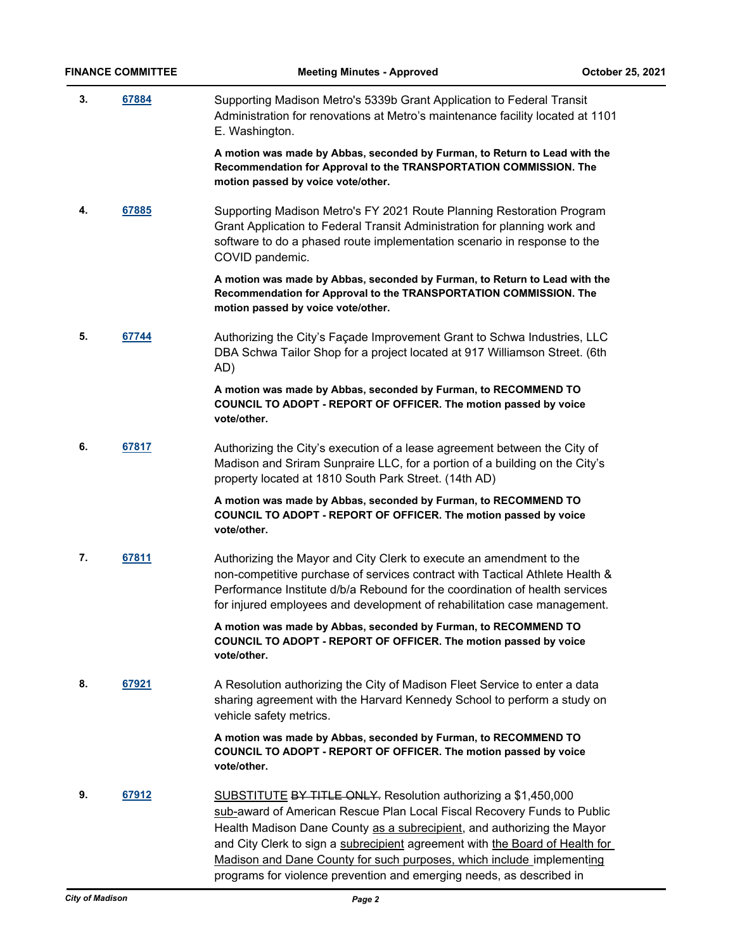**3. [67884](http://madison.legistar.com/gateway.aspx?m=l&id=/matter.aspx?key=79680)** Supporting Madison Metro's 5339b Grant Application to Federal Transit Administration for renovations at Metro's maintenance facility located at 1101 E. Washington.

> **A motion was made by Abbas, seconded by Furman, to Return to Lead with the Recommendation for Approval to the TRANSPORTATION COMMISSION. The motion passed by voice vote/other.**

**4. [67885](http://madison.legistar.com/gateway.aspx?m=l&id=/matter.aspx?key=79681)** Supporting Madison Metro's FY 2021 Route Planning Restoration Program Grant Application to Federal Transit Administration for planning work and software to do a phased route implementation scenario in response to the COVID pandemic.

> **A motion was made by Abbas, seconded by Furman, to Return to Lead with the Recommendation for Approval to the TRANSPORTATION COMMISSION. The motion passed by voice vote/other.**

**5.** [67744](http://madison.legistar.com/gateway.aspx?m=l&id=/matter.aspx?key=79575) Authorizing the City's Façade Improvement Grant to Schwa Industries, LLC DBA Schwa Tailor Shop for a project located at 917 Williamson Street. (6th AD)

> **A motion was made by Abbas, seconded by Furman, to RECOMMEND TO COUNCIL TO ADOPT - REPORT OF OFFICER. The motion passed by voice vote/other.**

**6. [67817](http://madison.legistar.com/gateway.aspx?m=l&id=/matter.aspx?key=79633)** Authorizing the City's execution of a lease agreement between the City of Madison and Sriram Sunpraire LLC, for a portion of a building on the City's property located at 1810 South Park Street. (14th AD)

> **A motion was made by Abbas, seconded by Furman, to RECOMMEND TO COUNCIL TO ADOPT - REPORT OF OFFICER. The motion passed by voice vote/other.**

**7. [67811](http://madison.legistar.com/gateway.aspx?m=l&id=/matter.aspx?key=79627)** Authorizing the Mayor and City Clerk to execute an amendment to the non-competitive purchase of services contract with Tactical Athlete Health & Performance Institute d/b/a Rebound for the coordination of health services for injured employees and development of rehabilitation case management.

> **A motion was made by Abbas, seconded by Furman, to RECOMMEND TO COUNCIL TO ADOPT - REPORT OF OFFICER. The motion passed by voice vote/other.**

**8. [67921](http://madison.legistar.com/gateway.aspx?m=l&id=/matter.aspx?key=79713)** A Resolution authorizing the City of Madison Fleet Service to enter a data sharing agreement with the Harvard Kennedy School to perform a study on vehicle safety metrics.

> **A motion was made by Abbas, seconded by Furman, to RECOMMEND TO COUNCIL TO ADOPT - REPORT OF OFFICER. The motion passed by voice vote/other.**

**9. [67912](http://madison.legistar.com/gateway.aspx?m=l&id=/matter.aspx?key=79707)** SUBSTITUTE BY TITLE ONLY. Resolution authorizing a \$1,450,000 sub-award of American Rescue Plan Local Fiscal Recovery Funds to Public Health Madison Dane County as a subrecipient, and authorizing the Mayor and City Clerk to sign a subrecipient agreement with the Board of Health for Madison and Dane County for such purposes, which include implementing programs for violence prevention and emerging needs, as described in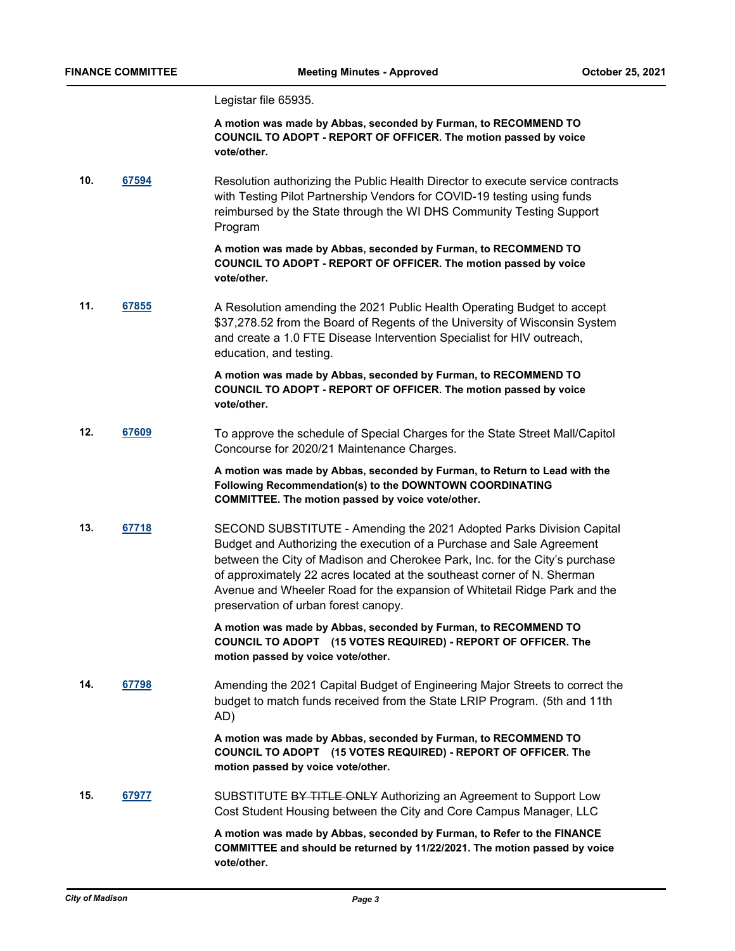Legistar file 65935.

**A motion was made by Abbas, seconded by Furman, to RECOMMEND TO COUNCIL TO ADOPT - REPORT OF OFFICER. The motion passed by voice vote/other.**

**10. [67594](http://madison.legistar.com/gateway.aspx?m=l&id=/matter.aspx?key=79466)** Resolution authorizing the Public Health Director to execute service contracts with Testing Pilot Partnership Vendors for COVID-19 testing using funds reimbursed by the State through the WI DHS Community Testing Support Program

> **A motion was made by Abbas, seconded by Furman, to RECOMMEND TO COUNCIL TO ADOPT - REPORT OF OFFICER. The motion passed by voice vote/other.**

**11. [67855](http://madison.legistar.com/gateway.aspx?m=l&id=/matter.aspx?key=79661)** A Resolution amending the 2021 Public Health Operating Budget to accept \$37,278.52 from the Board of Regents of the University of Wisconsin System and create a 1.0 FTE Disease Intervention Specialist for HIV outreach, education, and testing.

> **A motion was made by Abbas, seconded by Furman, to RECOMMEND TO COUNCIL TO ADOPT - REPORT OF OFFICER. The motion passed by voice vote/other.**

**12. [67609](http://madison.legistar.com/gateway.aspx?m=l&id=/matter.aspx?key=79477)** To approve the schedule of Special Charges for the State Street Mall/Capitol Concourse for 2020/21 Maintenance Charges.

> **A motion was made by Abbas, seconded by Furman, to Return to Lead with the Following Recommendation(s) to the DOWNTOWN COORDINATING COMMITTEE. The motion passed by voice vote/other.**

**13. [67718](http://madison.legistar.com/gateway.aspx?m=l&id=/matter.aspx?key=79554)** SECOND SUBSTITUTE - Amending the 2021 Adopted Parks Division Capital Budget and Authorizing the execution of a Purchase and Sale Agreement between the City of Madison and Cherokee Park, Inc. for the City's purchase of approximately 22 acres located at the southeast corner of N. Sherman Avenue and Wheeler Road for the expansion of Whitetail Ridge Park and the preservation of urban forest canopy.

> **A motion was made by Abbas, seconded by Furman, to RECOMMEND TO COUNCIL TO ADOPT (15 VOTES REQUIRED) - REPORT OF OFFICER. The motion passed by voice vote/other.**

**14. [67798](http://madison.legistar.com/gateway.aspx?m=l&id=/matter.aspx?key=79614)** Amending the 2021 Capital Budget of Engineering Major Streets to correct the budget to match funds received from the State LRIP Program. (5th and 11th AD)

> **A motion was made by Abbas, seconded by Furman, to RECOMMEND TO COUNCIL TO ADOPT (15 VOTES REQUIRED) - REPORT OF OFFICER. The motion passed by voice vote/other.**

**15. [67977](http://madison.legistar.com/gateway.aspx?m=l&id=/matter.aspx?key=79759)** SUBSTITUTE BY TITLE ONLY Authorizing an Agreement to Support Low Cost Student Housing between the City and Core Campus Manager, LLC

> **A motion was made by Abbas, seconded by Furman, to Refer to the FINANCE COMMITTEE and should be returned by 11/22/2021. The motion passed by voice vote/other.**